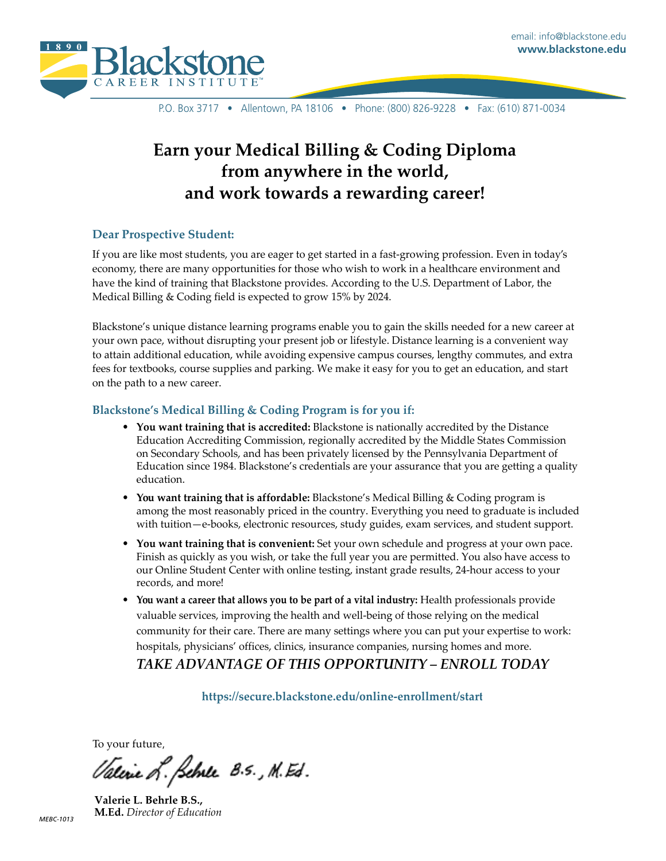

P.O. Box 3717 • Allentown, PA 18106 • Phone: (800) 826-9228 • Fax: (610) 871-0034

# **Earn your Medical Billing & Coding Diploma from anywhere in the world, and work towards a rewarding career!**

#### **Dear Prospective Student:**

If you are like most students, you are eager to get started in a fast-growing profession. Even in today's economy, there are many opportunities for those who wish to work in a healthcare environment and have the kind of training that Blackstone provides. According to the U.S. Department of Labor, the Medical Billing & Coding field is expected to grow 15% by 2024.

Blackstone's unique distance learning programs enable you to gain the skills needed for a new career at your own pace, without disrupting your present job or lifestyle. Distance learning is a convenient way to attain additional education, while avoiding expensive campus courses, lengthy commutes, and extra fees for textbooks, course supplies and parking. We make it easy for you to get an education, and start on the path to a new career.

#### **Blackstone's Medical Billing & Coding Program is for you if:**

- **• You want training that is accredited:** Blackstone is nationally accredited by the Distance Education Accrediting Commission, regionally accredited by the Middle States Commission on Secondary Schools, and has been privately licensed by the Pennsylvania Department of Education since 1984. Blackstone's credentials are your assurance that you are getting a quality education.
- **• You want training that is affordable:** Blackstone's Medical Billing & Coding program is among the most reasonably priced in the country. Everything you need to graduate is included with tuition—e-books, electronic resources, study guides, exam services, and student support.
- **• You want training that is convenient:** Set your own schedule and progress at your own pace. Finish as quickly as you wish, or take the full year you are permitted. You also have access to our Online Student Center with online testing, instant grade results, 24-hour access to your records, and more!
- **• You want a career that allows you to be part of a vital industry:** Health professionals provide valuable services, improving the health and well-being of those relying on the medical community for their care. There are many settings where you can put your expertise to work: hospitals, physicians' offices, clinics, insurance companies, nursing homes and more. *TAKE ADVANTAGE OF THIS OPPORTUNITY – ENROLL TODAY*

**<https://secure.blackstone.edu/online-enrollment/start>**

To your future,

Valerie L. Selve 8.5., M. Ed.

**Valerie L. Behrle B.S., M.Ed.** *Director of Education*